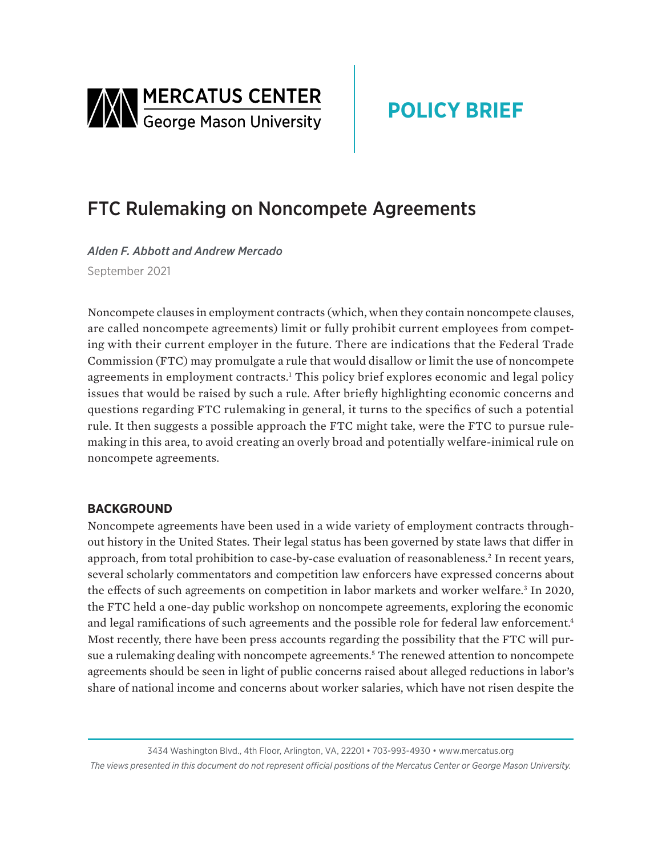<span id="page-0-0"></span>

# **POLICY BRIEF**

## FTC Rulemaking on Noncompete Agreements

*Alden F. Abbott and Andrew Mercado* September 2021

Noncompete clauses in employment contracts (which, when they contain noncompete clauses, are called noncompete agreements) limit or fully prohibit current employees from competing with their current employer in the future. There are indications that the Federal Trade Commission (FTC) may promulgate a rule that would disallow or limit the use of noncompete agreements in employment contracts.<sup>[1](#page-10-0)</sup> This policy brief explores economic and legal policy issues that would be raised by such a rule. After briefly highlighting economic concerns and questions regarding FTC rulemaking in general, it turns to the specifics of such a potential rule. It then suggests a possible approach the FTC might take, were the FTC to pursue rulemaking in this area, to avoid creating an overly broad and potentially welfare-inimical rule on noncompete agreements.

## **BACKGROUND**

Noncompete agreements have been used in a wide variety of employment contracts throughout history in the United States. Their legal status has been governed by state laws that differ in approach, from total prohibition to case-by-case evaluation of reasonableness.<sup>2</sup> In recent years, several scholarly commentators and competition law enforcers have expressed concerns about the effects of such agreements on competition in labor markets and worker welfare.<sup>[3](#page-10-0)</sup> In 2020, the FTC held a one-day public workshop on noncompete agreements, exploring the economic and legal ramifications of such agreements and the possible role for federal law enforcement.<sup>4</sup> Most recently, there have been press accounts regarding the possibility that the FTC will pur-sue a rulemaking dealing with noncompete agreements.<sup>[5](#page-10-0)</sup> The renewed attention to noncompete agreements should be seen in light of public concerns raised about alleged reductions in labor's share of national income and concerns about worker salaries, which have not risen despite the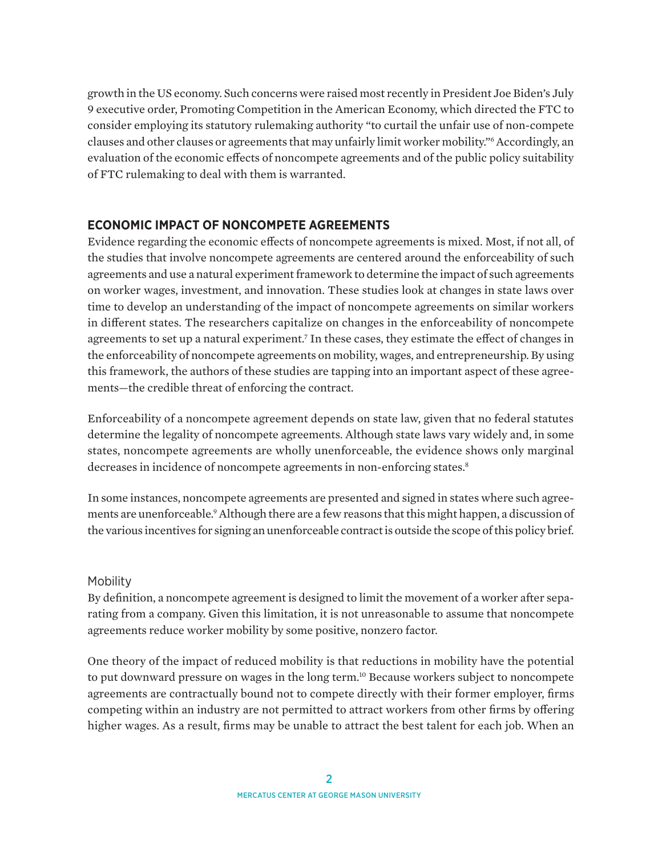<span id="page-1-0"></span>growth in the US economy. Such concerns were raised most recently in President Joe Biden's July 9 executive order, Promoting Competition in the American Economy, which directed the FTC to consider employing its statutory rulemaking authority "to curtail the unfair use of non-compete clauses and other clauses or agreements that may unfairly limit worker mobility."[6](#page-10-0) Accordingly, an evaluation of the economic effects of noncompete agreements and of the public policy suitability of FTC rulemaking to deal with them is warranted.

## **ECONOMIC IMPACT OF NONCOMPETE AGREEMENTS**

Evidence regarding the economic effects of noncompete agreements is mixed. Most, if not all, of the studies that involve noncompete agreements are centered around the enforceability of such agreements and use a natural experiment framework to determine the impact of such agreements on worker wages, investment, and innovation. These studies look at changes in state laws over time to develop an understanding of the impact of noncompete agreements on similar workers in different states. The researchers capitalize on changes in the enforceability of noncompete agreements to set up a natural experiment.<sup>[7](#page-10-0)</sup> In these cases, they estimate the effect of changes in the enforceability of noncompete agreements on mobility, wages, and entrepreneurship. By using this framework, the authors of these studies are tapping into an important aspect of these agreements—the credible threat of enforcing the contract.

Enforceability of a noncompete agreement depends on state law, given that no federal statutes determine the legality of noncompete agreements. Although state laws vary widely and, in some states, noncompete agreements are wholly unenforceable, the evidence shows only marginal decreases in incidence of noncompete agreements in non-enforcing states.<sup>8</sup>

In some instances, noncompete agreements are presented and signed in states where such agreements are unenforceable.<sup>9</sup> Although there are a few reasons that this might happen, a discussion of the various incentives for signing an unenforceable contract is outside the scope of this policy brief.

#### **Mobility**

By definition, a noncompete agreement is designed to limit the movement of a worker after separating from a company. Given this limitation, it is not unreasonable to assume that noncompete agreements reduce worker mobility by some positive, nonzero factor.

One theory of the impact of reduced mobility is that reductions in mobility have the potential to put downward pressure on wages in the long term.<sup>10</sup> Because workers subject to noncompete agreements are contractually bound not to compete directly with their former employer, firms competing within an industry are not permitted to attract workers from other firms by offering higher wages. As a result, firms may be unable to attract the best talent for each job. When an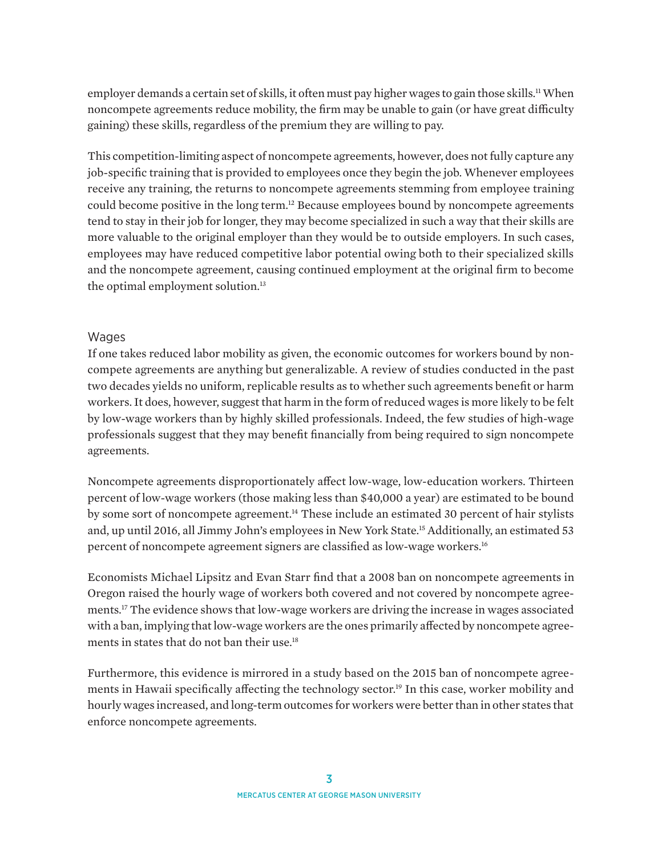<span id="page-2-0"></span>employer demands a certain set of skills, it often must pay higher wages to gain those skills.<sup>11</sup> When noncompete agreements reduce mobility, the firm may be unable to gain (or have great difficulty gaining) these skills, regardless of the premium they are willing to pay.

This competition-limiting aspect of noncompete agreements, however, does not fully capture any job-specific training that is provided to employees once they begin the job. Whenever employees receive any training, the returns to noncompete agreements stemming from employee training could become positive in the long term.<sup>12</sup> Because employees bound by noncompete agreements tend to stay in their job for longer, they may become specialized in such a way that their skills are more valuable to the original employer than they would be to outside employers. In such cases, employees may have reduced competitive labor potential owing both to their specialized skills and the noncompete agreement, causing continued employment at the original firm to become the optimal employment solution.<sup>13</sup>

#### Wages

If one takes reduced labor mobility as given, the economic outcomes for workers bound by noncompete agreements are anything but generalizable. A review of studies conducted in the past two decades yields no uniform, replicable results as to whether such agreements benefit or harm workers. It does, however, suggest that harm in the form of reduced wages is more likely to be felt by low-wage workers than by highly skilled professionals. Indeed, the few studies of high-wage professionals suggest that they may benefit financially from being required to sign noncompete agreements.

Noncompete agreements disproportionately affect low-wage, low-education workers. Thirteen percent of low-wage workers (those making less than \$40,000 a year) are estimated to be bound by some sort of noncompete agreement.<sup>14</sup> These include an estimated 30 percent of hair stylists and, up until 2016, all Jimmy John's employees in New York State.[15](#page-11-0) Additionally, an estimated 53 percent of noncompete agreement signers are classified as low-wage workers.<sup>16</sup>

Economists Michael Lipsitz and Evan Starr find that a 2008 ban on noncompete agreements in Oregon raised the hourly wage of workers both covered and not covered by noncompete agreements[.17](#page-11-0) The evidence shows that low-wage workers are driving the increase in wages associated with a ban, implying that low-wage workers are the ones primarily affected by noncompete agreements in states that do not ban their use.<sup>18</sup>

Furthermore, this evidence is mirrored in a study based on the 2015 ban of noncompete agreements in Hawaii specifically affecting the technology sector.<sup>19</sup> In this case, worker mobility and hourly wages increased, and long-term outcomes for workers were better than in other states that enforce noncompete agreements.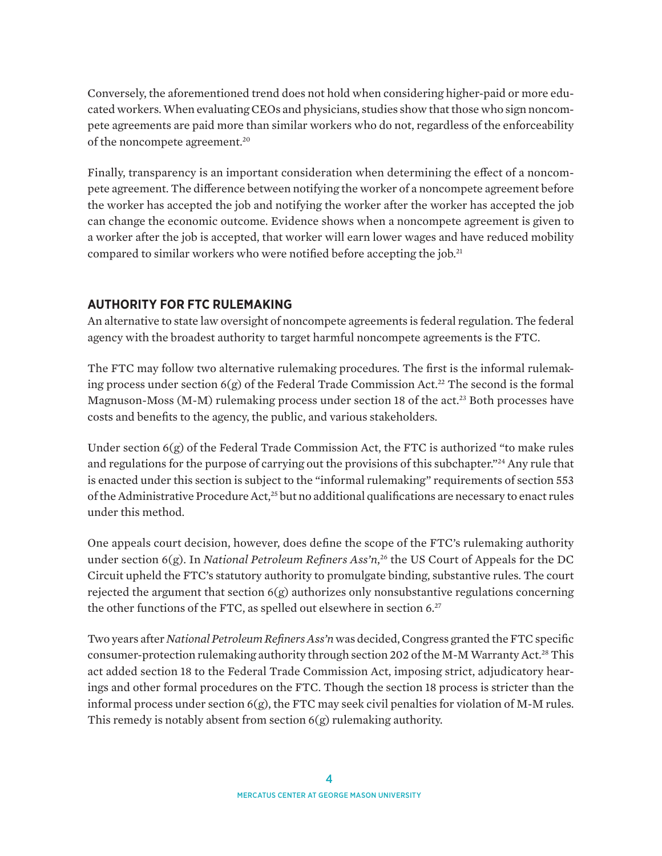<span id="page-3-0"></span>Conversely, the aforementioned trend does not hold when considering higher-paid or more educated workers. When evaluating CEOs and physicians, studies show that those who sign noncompete agreements are paid more than similar workers who do not, regardless of the enforceability of the noncompete agreement[.20](#page-11-0)

Finally, transparency is an important consideration when determining the effect of a noncompete agreement. The difference between notifying the worker of a noncompete agreement before the worker has accepted the job and notifying the worker after the worker has accepted the job can change the economic outcome. Evidence shows when a noncompete agreement is given to a worker after the job is accepted, that worker will earn lower wages and have reduced mobility compared to similar workers who were notified before accepting the job.[21](#page-11-0)

## **AUTHORITY FOR FTC RULEMAKING**

An alternative to state law oversight of noncompete agreements is federal regulation. The federal agency with the broadest authority to target harmful noncompete agreements is the FTC.

The FTC may follow two alternative rulemaking procedures. The first is the informal rulemaking process under section  $6(g)$  of the Federal Trade Commission Act.<sup>22</sup> The second is the formal Magnuson-Moss (M-M) rulemaking process under section 18 of the act.<sup>[23](#page-12-0)</sup> Both processes have costs and benefits to the agency, the public, and various stakeholders.

Under section  $6(g)$  of the Federal Trade Commission Act, the FTC is authorized "to make rules" and regulations for the purpose of carrying out the provisions of this subchapter."<sup>[24](#page-12-0)</sup> Any rule that is enacted under this section is subject to the "informal rulemaking" requirements of section 553 of the Administrative Procedure Act,<sup>25</sup> but no additional qualifications are necessary to enact rules under this method.

One appeals court decision, however, does define the scope of the FTC's rulemaking authority under section 6(g). In *National Petroleum Refiners Ass'n*, [26](#page-12-0) the US Court of Appeals for the DC Circuit upheld the FTC's statutory authority to promulgate binding, substantive rules. The court rejected the argument that section  $6(g)$  authorizes only nonsubstantive regulations concerning the other functions of the FTC, as spelled out elsewhere in section 6.<sup>27</sup>

Two years after *National Petroleum Refiners Ass'n* was decided, Congress granted the FTC specific consumer-protection rulemaking authority through section 202 of the M-M Warranty Act[.28](#page-12-0) This act added section 18 to the Federal Trade Commission Act, imposing strict, adjudicatory hearings and other formal procedures on the FTC. Though the section 18 process is stricter than the informal process under section  $6(g)$ , the FTC may seek civil penalties for violation of M-M rules. This remedy is notably absent from section 6(g) rulemaking authority.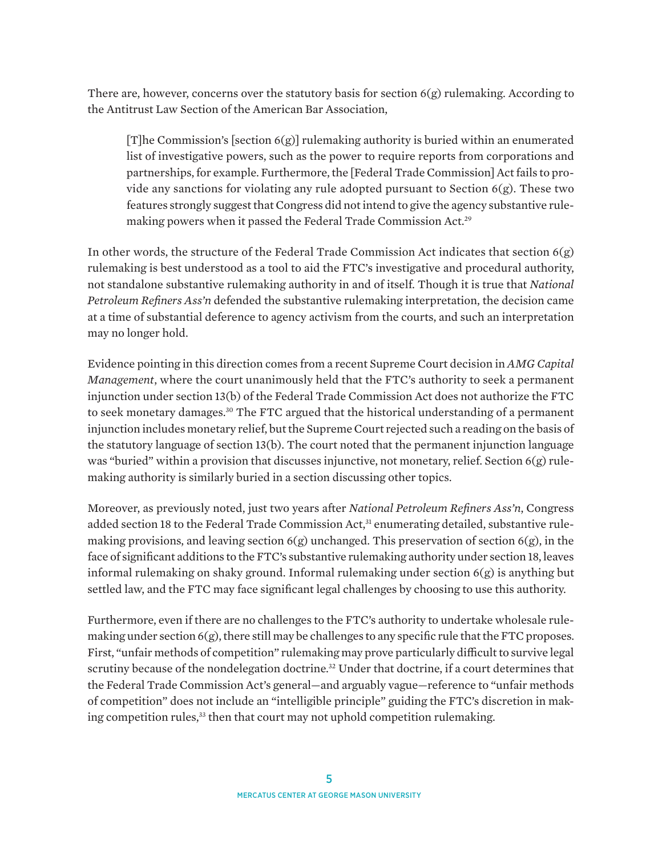<span id="page-4-0"></span>There are, however, concerns over the statutory basis for section 6(g) rulemaking. According to the Antitrust Law Section of the American Bar Association,

[T]he Commission's [section 6(g)] rulemaking authority is buried within an enumerated list of investigative powers, such as the power to require reports from corporations and partnerships, for example. Furthermore, the [Federal Trade Commission] Act fails to provide any sanctions for violating any rule adopted pursuant to Section  $6(g)$ . These two features strongly suggest that Congress did not intend to give the agency substantive rulemaking powers when it passed the Federal Trade Commission Act.[29](#page-12-0)

In other words, the structure of the Federal Trade Commission Act indicates that section  $6(g)$ rulemaking is best understood as a tool to aid the FTC's investigative and procedural authority, not standalone substantive rulemaking authority in and of itself. Though it is true that *National Petroleum Refiners Ass'n* defended the substantive rulemaking interpretation, the decision came at a time of substantial deference to agency activism from the courts, and such an interpretation may no longer hold.

Evidence pointing in this direction comes from a recent Supreme Court decision in *AMG Capital Management*, where the court unanimously held that the FTC's authority to seek a permanent injunction under section 13(b) of the Federal Trade Commission Act does not authorize the FTC to seek monetary damages.[30](#page-12-0) The FTC argued that the historical understanding of a permanent injunction includes monetary relief, but the Supreme Court rejected such a reading on the basis of the statutory language of section 13(b). The court noted that the permanent injunction language was "buried" within a provision that discusses injunctive, not monetary, relief. Section  $6(g)$  rulemaking authority is similarly buried in a section discussing other topics.

Moreover, as previously noted, just two years after *National Petroleum Refiners Ass'n*, Congress added section 18 to the Federal Trade Commission Act,<sup>31</sup> enumerating detailed, substantive rulemaking provisions, and leaving section 6(g) unchanged. This preservation of section 6(g), in the face of significant additions to the FTC's substantive rulemaking authority under section 18, leaves informal rulemaking on shaky ground. Informal rulemaking under section  $6(g)$  is anything but settled law, and the FTC may face significant legal challenges by choosing to use this authority.

Furthermore, even if there are no challenges to the FTC's authority to undertake wholesale rulemaking under section 6(g), there still may be challenges to any specific rule that the FTC proposes. First, "unfair methods of competition" rulemaking may prove particularly difficult to survive legal scrutiny because of the nondelegation doctrine.<sup>32</sup> Under that doctrine, if a court determines that the Federal Trade Commission Act's general—and arguably vague—reference to "unfair methods of competition" does not include an "intelligible principle" guiding the FTC's discretion in making competition rules,<sup>33</sup> then that court may not uphold competition rulemaking.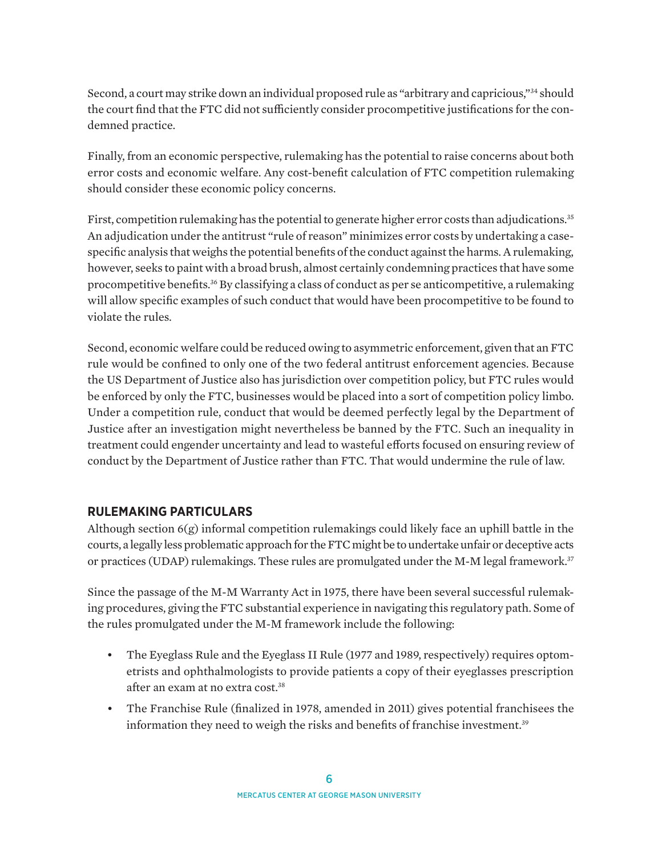<span id="page-5-0"></span>Second, a court may strike down an individual proposed rule as "arbitrary and capricious,"[34](#page-12-0) should the court find that the FTC did not sufficiently consider procompetitive justifications for the condemned practice.

Finally, from an economic perspective, rulemaking has the potential to raise concerns about both error costs and economic welfare. Any cost-benefit calculation of FTC competition rulemaking should consider these economic policy concerns.

First, competition rulemaking has the potential to generate higher error costs than adjudications.<sup>[35](#page-12-0)</sup> An adjudication under the antitrust "rule of reason" minimizes error costs by undertaking a casespecific analysis that weighs the potential benefits of the conduct against the harms. A rulemaking, however, seeks to paint with a broad brush, almost certainly condemning practices that have some procompetitive benefits.<sup>[36](#page-12-0)</sup> By classifying a class of conduct as per se anticompetitive, a rulemaking will allow specific examples of such conduct that would have been procompetitive to be found to violate the rules.

Second, economic welfare could be reduced owing to asymmetric enforcement, given that an FTC rule would be confined to only one of the two federal antitrust enforcement agencies. Because the US Department of Justice also has jurisdiction over competition policy, but FTC rules would be enforced by only the FTC, businesses would be placed into a sort of competition policy limbo. Under a competition rule, conduct that would be deemed perfectly legal by the Department of Justice after an investigation might nevertheless be banned by the FTC. Such an inequality in treatment could engender uncertainty and lead to wasteful efforts focused on ensuring review of conduct by the Department of Justice rather than FTC. That would undermine the rule of law.

## **RULEMAKING PARTICULARS**

Although section 6(g) informal competition rulemakings could likely face an uphill battle in the courts, a legally less problematic approach for the FTC might be to undertake unfair or deceptive acts or practices (UDAP) rulemakings. These rules are promulgated under the M-M legal framework.<sup>[37](#page-12-0)</sup>

Since the passage of the M-M Warranty Act in 1975, there have been several successful rulemaking procedures, giving the FTC substantial experience in navigating this regulatory path. Some of the rules promulgated under the M-M framework include the following:

- The Eyeglass Rule and the Eyeglass II Rule (1977 and 1989, respectively) requires optometrists and ophthalmologists to provide patients a copy of their eyeglasses prescription after an exam at no extra cost[.38](#page-12-0)
- The Franchise Rule (finalized in 1978, amended in 2011) gives potential franchisees the information they need to weigh the risks and benefits of franchise investment.<sup>[39](#page-13-0)</sup>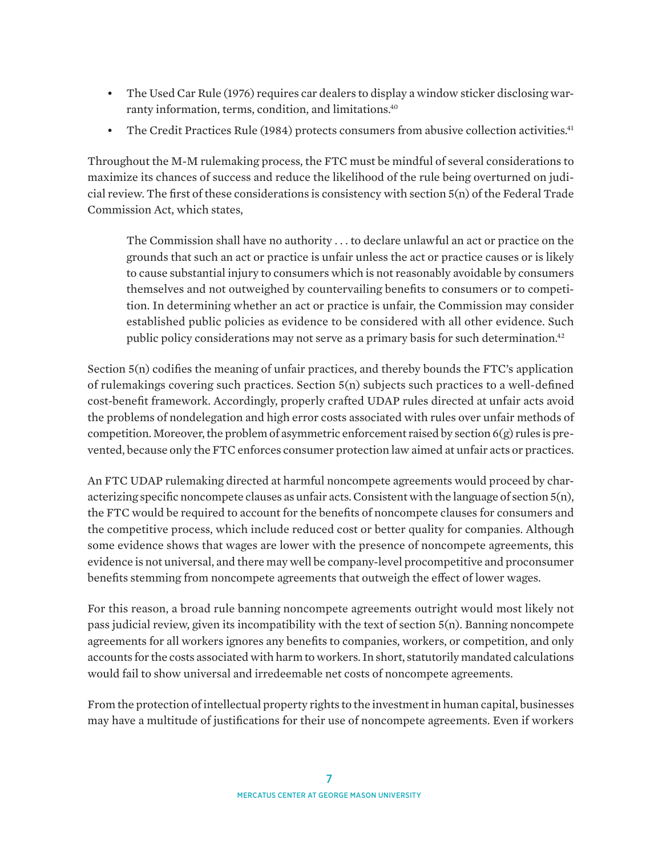- <span id="page-6-0"></span>• The Used Car Rule (1976) requires car dealers to display a window sticker disclosing warranty information, terms, condition, and limitations.<sup>40</sup>
- The Credit Practices Rule (1984) protects consumers from abusive collection activities.<sup>41</sup>

Throughout the M-M rulemaking process, the FTC must be mindful of several considerations to maximize its chances of success and reduce the likelihood of the rule being overturned on judicial review. The first of these considerations is consistency with section 5(n) of the Federal Trade Commission Act, which states,

The Commission shall have no authority . . . to declare unlawful an act or practice on the grounds that such an act or practice is unfair unless the act or practice causes or is likely to cause substantial injury to consumers which is not reasonably avoidable by consumers themselves and not outweighed by countervailing benefits to consumers or to competition. In determining whether an act or practice is unfair, the Commission may consider established public policies as evidence to be considered with all other evidence. Such public policy considerations may not serve as a primary basis for such determination.<sup>42</sup>

Section 5(n) codifies the meaning of unfair practices, and thereby bounds the FTC's application of rulemakings covering such practices. Section 5(n) subjects such practices to a well-defined cost-benefit framework. Accordingly, properly crafted UDAP rules directed at unfair acts avoid the problems of nondelegation and high error costs associated with rules over unfair methods of competition. Moreover, the problem of asymmetric enforcement raised by section 6(g) rules is prevented, because only the FTC enforces consumer protection law aimed at unfair acts or practices.

An FTC UDAP rulemaking directed at harmful noncompete agreements would proceed by characterizing specific noncompete clauses as unfair acts. Consistent with the language of section 5(n), the FTC would be required to account for the benefits of noncompete clauses for consumers and the competitive process, which include reduced cost or better quality for companies. Although some evidence shows that wages are lower with the presence of noncompete agreements, this evidence is not universal, and there may well be company-level procompetitive and proconsumer benefits stemming from noncompete agreements that outweigh the effect of lower wages.

For this reason, a broad rule banning noncompete agreements outright would most likely not pass judicial review, given its incompatibility with the text of section  $5(n)$ . Banning noncompete agreements for all workers ignores any benefits to companies, workers, or competition, and only accounts for the costs associated with harm to workers. In short, statutorily mandated calculations would fail to show universal and irredeemable net costs of noncompete agreements.

From the protection of intellectual property rights to the investment in human capital, businesses may have a multitude of justifications for their use of noncompete agreements. Even if workers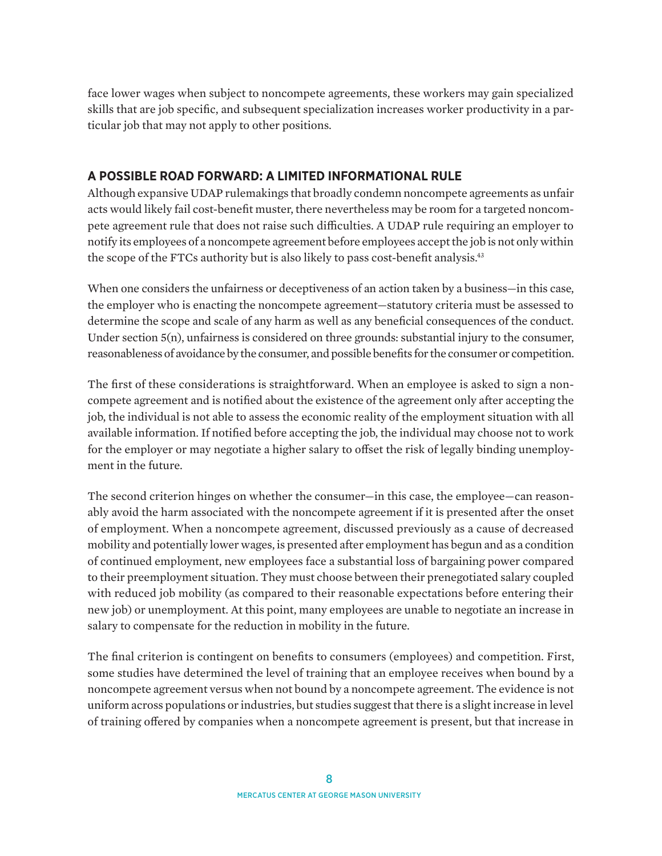<span id="page-7-0"></span>face lower wages when subject to noncompete agreements, these workers may gain specialized skills that are job specific, and subsequent specialization increases worker productivity in a particular job that may not apply to other positions.

### **A POSSIBLE ROAD FORWARD: A LIMITED INFORMATIONAL RULE**

Although expansive UDAP rulemakings that broadly condemn noncompete agreements as unfair acts would likely fail cost-benefit muster, there nevertheless may be room for a targeted noncompete agreement rule that does not raise such difficulties. A UDAP rule requiring an employer to notify its employees of a noncompete agreement before employees accept the job is not only within the scope of the FTCs authority but is also likely to pass cost-benefit analysis.<sup>43</sup>

When one considers the unfairness or deceptiveness of an action taken by a business—in this case, the employer who is enacting the noncompete agreement—statutory criteria must be assessed to determine the scope and scale of any harm as well as any beneficial consequences of the conduct. Under section  $5(n)$ , unfairness is considered on three grounds: substantial injury to the consumer, reasonableness of avoidance by the consumer, and possible benefits for the consumer or competition.

The first of these considerations is straightforward. When an employee is asked to sign a noncompete agreement and is notified about the existence of the agreement only after accepting the job, the individual is not able to assess the economic reality of the employment situation with all available information. If notified before accepting the job, the individual may choose not to work for the employer or may negotiate a higher salary to offset the risk of legally binding unemployment in the future.

The second criterion hinges on whether the consumer—in this case, the employee—can reasonably avoid the harm associated with the noncompete agreement if it is presented after the onset of employment. When a noncompete agreement, discussed previously as a cause of decreased mobility and potentially lower wages, is presented after employment has begun and as a condition of continued employment, new employees face a substantial loss of bargaining power compared to their preemployment situation. They must choose between their prenegotiated salary coupled with reduced job mobility (as compared to their reasonable expectations before entering their new job) or unemployment. At this point, many employees are unable to negotiate an increase in salary to compensate for the reduction in mobility in the future.

The final criterion is contingent on benefits to consumers (employees) and competition. First, some studies have determined the level of training that an employee receives when bound by a noncompete agreement versus when not bound by a noncompete agreement. The evidence is not uniform across populations or industries, but studies suggest that there is a slight increase in level of training offered by companies when a noncompete agreement is present, but that increase in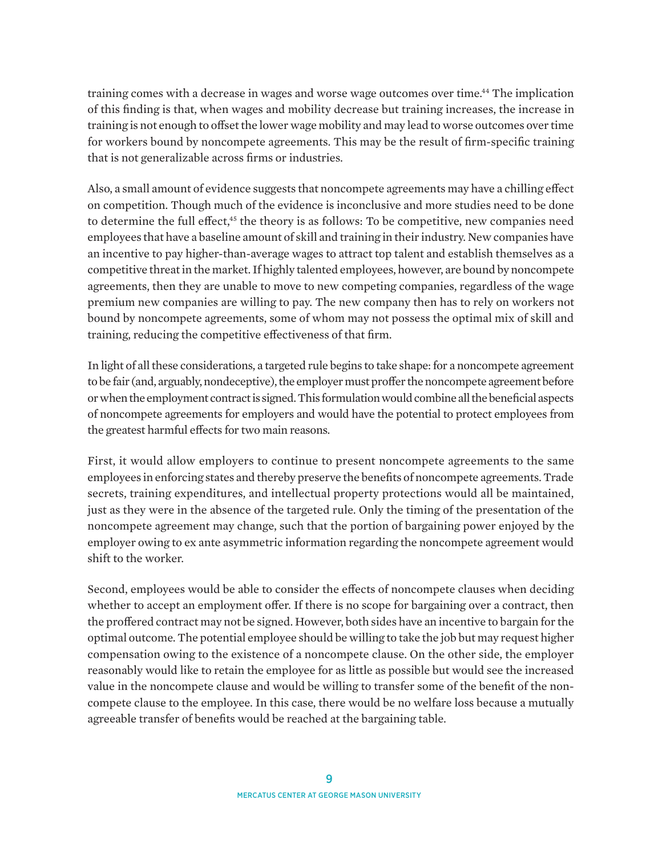<span id="page-8-0"></span>training comes with a decrease in wages and worse wage outcomes over time[.44](#page-13-0) The implication of this finding is that, when wages and mobility decrease but training increases, the increase in training is not enough to offset the lower wage mobility and may lead to worse outcomes over time for workers bound by noncompete agreements. This may be the result of firm-specific training that is not generalizable across firms or industries.

Also, a small amount of evidence suggests that noncompete agreements may have a chilling effect on competition. Though much of the evidence is inconclusive and more studies need to be done to determine the full effect,<sup>45</sup> the theory is as follows: To be competitive, new companies need employees that have a baseline amount of skill and training in their industry. New companies have an incentive to pay higher-than-average wages to attract top talent and establish themselves as a competitive threat in the market. If highly talented employees, however, are bound by noncompete agreements, then they are unable to move to new competing companies, regardless of the wage premium new companies are willing to pay. The new company then has to rely on workers not bound by noncompete agreements, some of whom may not possess the optimal mix of skill and training, reducing the competitive effectiveness of that firm.

In light of all these considerations, a targeted rule begins to take shape: for a noncompete agreement to be fair (and, arguably, nondeceptive), the employer must proffer the noncompete agreement before or when the employment contract is signed. This formulation would combine all the beneficial aspects of noncompete agreements for employers and would have the potential to protect employees from the greatest harmful effects for two main reasons.

First, it would allow employers to continue to present noncompete agreements to the same employees in enforcing states and thereby preserve the benefits of noncompete agreements. Trade secrets, training expenditures, and intellectual property protections would all be maintained, just as they were in the absence of the targeted rule. Only the timing of the presentation of the noncompete agreement may change, such that the portion of bargaining power enjoyed by the employer owing to ex ante asymmetric information regarding the noncompete agreement would shift to the worker.

Second, employees would be able to consider the effects of noncompete clauses when deciding whether to accept an employment offer. If there is no scope for bargaining over a contract, then the proffered contract may not be signed. However, both sides have an incentive to bargain for the optimal outcome. The potential employee should be willing to take the job but may request higher compensation owing to the existence of a noncompete clause. On the other side, the employer reasonably would like to retain the employee for as little as possible but would see the increased value in the noncompete clause and would be willing to transfer some of the benefit of the noncompete clause to the employee. In this case, there would be no welfare loss because a mutually agreeable transfer of benefits would be reached at the bargaining table.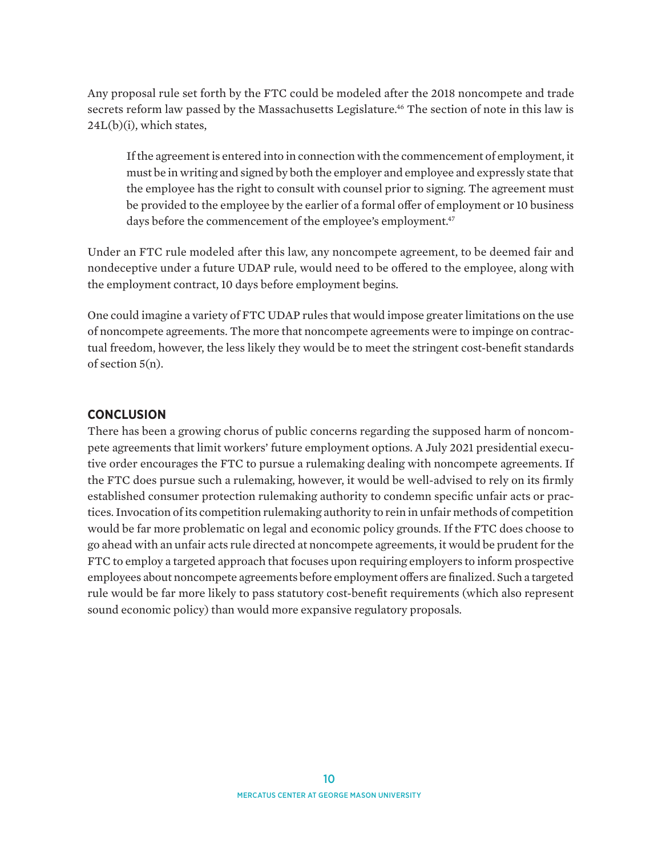<span id="page-9-0"></span>Any proposal rule set forth by the FTC could be modeled after the 2018 noncompete and trade secrets reform law passed by the Massachusetts Legislature.<sup>46</sup> The section of note in this law is 24L(b)(i), which states,

If the agreement is entered into in connection with the commencement of employment, it must be in writing and signed by both the employer and employee and expressly state that the employee has the right to consult with counsel prior to signing. The agreement must be provided to the employee by the earlier of a formal offer of employment or 10 business days before the commencement of the employee's employment.<sup>47</sup>

Under an FTC rule modeled after this law, any noncompete agreement, to be deemed fair and nondeceptive under a future UDAP rule, would need to be offered to the employee, along with the employment contract, 10 days before employment begins.

One could imagine a variety of FTC UDAP rules that would impose greater limitations on the use of noncompete agreements. The more that noncompete agreements were to impinge on contractual freedom, however, the less likely they would be to meet the stringent cost-benefit standards of section 5(n).

#### **CONCLUSION**

There has been a growing chorus of public concerns regarding the supposed harm of noncompete agreements that limit workers' future employment options. A July 2021 presidential executive order encourages the FTC to pursue a rulemaking dealing with noncompete agreements. If the FTC does pursue such a rulemaking, however, it would be well-advised to rely on its firmly established consumer protection rulemaking authority to condemn specific unfair acts or practices. Invocation of its competition rulemaking authority to rein in unfair methods of competition would be far more problematic on legal and economic policy grounds. If the FTC does choose to go ahead with an unfair acts rule directed at noncompete agreements, it would be prudent for the FTC to employ a targeted approach that focuses upon requiring employers to inform prospective employees about noncompete agreements before employment offers are finalized. Such a targeted rule would be far more likely to pass statutory cost-benefit requirements (which also represent sound economic policy) than would more expansive regulatory proposals.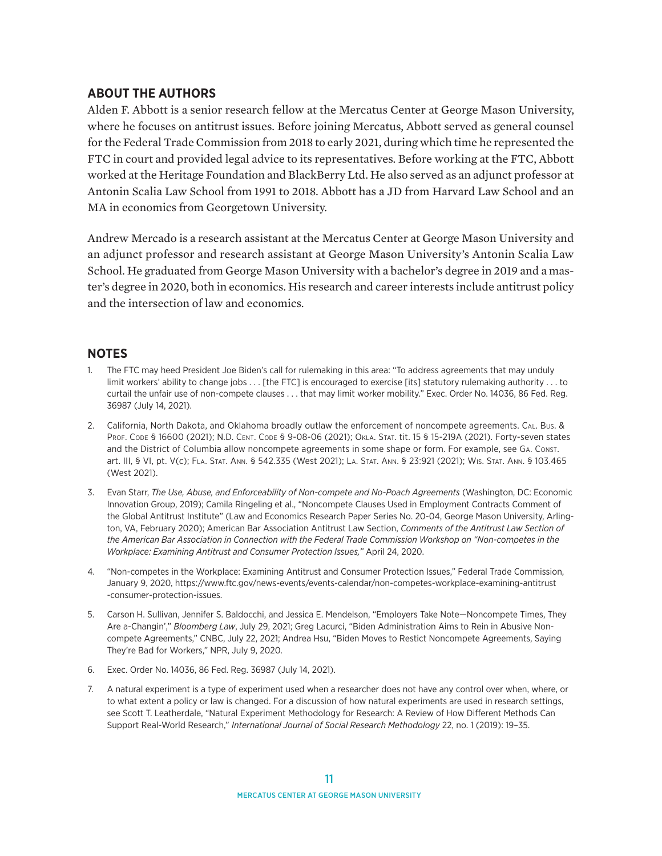#### <span id="page-10-0"></span>**ABOUT THE AUTHORS**

Alden F. Abbott is a senior research fellow at the Mercatus Center at George Mason University, where he focuses on antitrust issues. Before joining Mercatus, Abbott served as general counsel for the Federal Trade Commission from 2018 to early 2021, during which time he represented the FTC in court and provided legal advice to its representatives. Before working at the FTC, Abbott worked at the Heritage Foundation and BlackBerry Ltd. He also served as an adjunct professor at Antonin Scalia Law School from 1991 to 2018. Abbott has a JD from Harvard Law School and an MA in economics from Georgetown University.

Andrew Mercado is a research assistant at the Mercatus Center at George Mason University and an adjunct professor and research assistant at George Mason University's Antonin Scalia Law School. He graduated from George Mason University with a bachelor's degree in 2019 and a master's degree in 2020, both in economics. His research and career interests include antitrust policy and the intersection of law and economics.

#### **NOTES**

- [1.](#page-0-0) The FTC may heed President Joe Biden's call for rulemaking in this area: "To address agreements that may unduly limit workers' ability to change jobs . . . [the FTC] is encouraged to exercise [its] statutory rulemaking authority . . . to curtail the unfair use of non-compete clauses . . . that may limit worker mobility." Exec. Order No. 14036, 86 Fed. Reg. 36987 (July 14, 2021).
- [2](#page-0-0). California, North Dakota, and Oklahoma broadly outlaw the enforcement of noncompete agreements. Cal. Bus. & Prof. Code § 16600 (2021); N.D. Cent. Code § 9-08-06 (2021); Okla. Stat. tit. 15 § 15-219A (2021). Forty-seven states and the District of Columbia allow noncompete agreements in some shape or form. For example, see Ga. Const. art. III, § VI, pt. V(c); Fla. Stat. Ann. § 542.335 (West 2021); La. Stat. Ann. § 23:921 (2021); Wis. Stat. Ann. § 103.465 (West 2021).
- [3](#page-0-0). Evan Starr, *The Use, Abuse, and Enforceability of Non-compete and No-Poach Agreements* (Washington, DC: Economic Innovation Group, 2019); Camila Ringeling et al., "Noncompete Clauses Used in Employment Contracts Comment of the Global Antitrust Institute" (Law and Economics Research Paper Series No. 20-04, George Mason University, Arlington, VA, February 2020); American Bar Association Antitrust Law Section, *Comments of the Antitrust Law Section of the American Bar Association in Connection with the Federal Trade Commission Workshop on "Non-competes in the Workplace: Examining Antitrust and Consumer Protection Issues,"* April 24, 2020.
- [4.](#page-0-0) "Non-competes in the Workplace: Examining Antitrust and Consumer Protection Issues," Federal Trade Commission, January 9, 2020, [https://www.ftc.gov/news-events/events-calendar/non-competes-workplace-examining-antitrust](https://www.ftc.gov/news-events/events-calendar/non-competes-workplace-examining-antitrust-consumer-protection-issues) [-consumer-protection-issues.](https://www.ftc.gov/news-events/events-calendar/non-competes-workplace-examining-antitrust-consumer-protection-issues)
- [5](#page-0-0). Carson H. Sullivan, Jennifer S. Baldocchi, and Jessica E. Mendelson, "Employers Take Note—Noncompete Times, They Are a-Changin'," *Bloomberg Law*, July 29, 2021; Greg Lacurci, "Biden Administration Aims to Rein in Abusive Noncompete Agreements," CNBC, July 22, 2021; Andrea Hsu, "Biden Moves to Restict Noncompete Agreements, Saying They're Bad for Workers," NPR, July 9, 2020.
- [6.](#page-1-0) Exec. Order No. 14036, 86 Fed. Reg. 36987 (July 14, 2021).
- [7.](#page-1-0) A natural experiment is a type of experiment used when a researcher does not have any control over when, where, or to what extent a policy or law is changed. For a discussion of how natural experiments are used in research settings, see Scott T. Leatherdale, "Natural Experiment Methodology for Research: A Review of How Different Methods Can Support Real-World Research," *International Journal of Social Research Methodology* 22, no. 1 (2019): 19–35.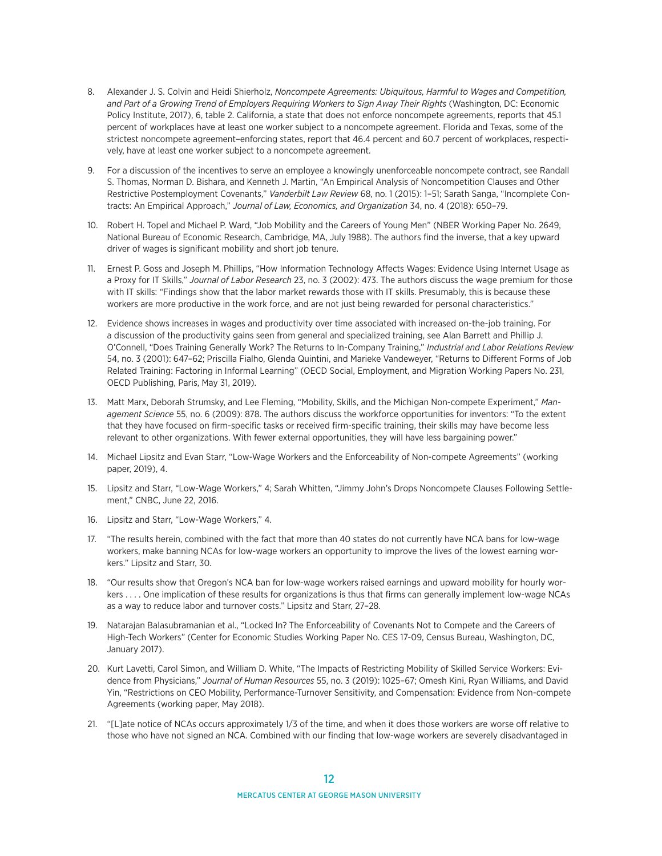- <span id="page-11-0"></span>[8.](#page-1-0) Alexander J. S. Colvin and Heidi Shierholz, *Noncompete Agreements: Ubiquitous, Harmful to Wages and Competition, and Part of a Growing Trend of Employers Requiring Workers to Sign Away Their Rights* (Washington, DC: Economic Policy Institute, 2017), 6, table 2. California, a state that does not enforce noncompete agreements, reports that 45.1 percent of workplaces have at least one worker subject to a noncompete agreement. Florida and Texas, some of the strictest noncompete agreement–enforcing states, report that 46.4 percent and 60.7 percent of workplaces, respectively, have at least one worker subject to a noncompete agreement.
- [9.](#page-1-0) For a discussion of the incentives to serve an employee a knowingly unenforceable noncompete contract, see Randall S. Thomas, Norman D. Bishara, and Kenneth J. Martin, "An Empirical Analysis of Noncompetition Clauses and Other Restrictive Postemployment Covenants," *Vanderbilt Law Review* 68, no. 1 (2015): 1–51; Sarath Sanga, "Incomplete Contracts: An Empirical Approach," *Journal of Law, Economics, and Organization* 34, no. 4 (2018): 650–79.
- [10.](#page-1-0) Robert H. Topel and Michael P. Ward, "Job Mobility and the Careers of Young Men" (NBER Working Paper No. 2649, National Bureau of Economic Research, Cambridge, MA, July 1988). The authors find the inverse, that a key upward driver of wages is significant mobility and short job tenure.
- [11](#page-2-0). Ernest P. Goss and Joseph M. Phillips, "How Information Technology Affects Wages: Evidence Using Internet Usage as a Proxy for IT Skills," *Journal of Labor Research* 23, no. 3 (2002): 473. The authors discuss the wage premium for those with IT skills: "Findings show that the labor market rewards those with IT skills. Presumably, this is because these workers are more productive in the work force, and are not just being rewarded for personal characteristics."
- [12](#page-2-0). Evidence shows increases in wages and productivity over time associated with increased on-the-job training. For a discussion of the productivity gains seen from general and specialized training, see Alan Barrett and Phillip J. O'Connell, "Does Training Generally Work? The Returns to In-Company Training," *Industrial and Labor Relations Review* 54, no. 3 (2001): 647–62; Priscilla Fialho, Glenda Quintini, and Marieke Vandeweyer, "Returns to Different Forms of Job Related Training: Factoring in Informal Learning" (OECD Social, Employment, and Migration Working Papers No. 231, OECD Publishing, Paris, May 31, 2019).
- [13](#page-2-0). Matt Marx, Deborah Strumsky, and Lee Fleming, "Mobility, Skills, and the Michigan Non-compete Experiment," *Management Science* 55, no. 6 (2009): 878. The authors discuss the workforce opportunities for inventors: "To the extent that they have focused on firm-specific tasks or received firm-specific training, their skills may have become less relevant to other organizations. With fewer external opportunities, they will have less bargaining power."
- [14.](#page-2-0) Michael Lipsitz and Evan Starr, "Low-Wage Workers and the Enforceability of Non-compete Agreements" (working paper, 2019), 4.
- [15](#page-2-0). Lipsitz and Starr, "Low-Wage Workers," 4; Sarah Whitten, "Jimmy John's Drops Noncompete Clauses Following Settlement," CNBC, June 22, 2016.
- [16](#page-2-0). Lipsitz and Starr, "Low-Wage Workers," 4.
- [17](#page-2-0). "The results herein, combined with the fact that more than 40 states do not currently have NCA bans for low-wage workers, make banning NCAs for low-wage workers an opportunity to improve the lives of the lowest earning workers." Lipsitz and Starr, 30.
- [18](#page-2-0). "Our results show that Oregon's NCA ban for low-wage workers raised earnings and upward mobility for hourly workers . . . . One implication of these results for organizations is thus that firms can generally implement low-wage NCAs as a way to reduce labor and turnover costs." Lipsitz and Starr, 27–28.
- [19](#page-2-0). Natarajan Balasubramanian et al., "Locked In? The Enforceability of Covenants Not to Compete and the Careers of High-Tech Workers" (Center for Economic Studies Working Paper No. CES 17-09, Census Bureau, Washington, DC, January 2017).
- [20.](#page-3-0) Kurt Lavetti, Carol Simon, and William D. White, "The Impacts of Restricting Mobility of Skilled Service Workers: Evidence from Physicians," *Journal of Human Resources* 55, no. 3 (2019): 1025–67; Omesh Kini, Ryan Williams, and David Yin, "Restrictions on CEO Mobility, Performance-Turnover Sensitivity, and Compensation: Evidence from Non-compete Agreements (working paper, May 2018).
- [21](#page-3-0). "[L]ate notice of NCAs occurs approximately 1/3 of the time, and when it does those workers are worse off relative to those who have not signed an NCA. Combined with our finding that low-wage workers are severely disadvantaged in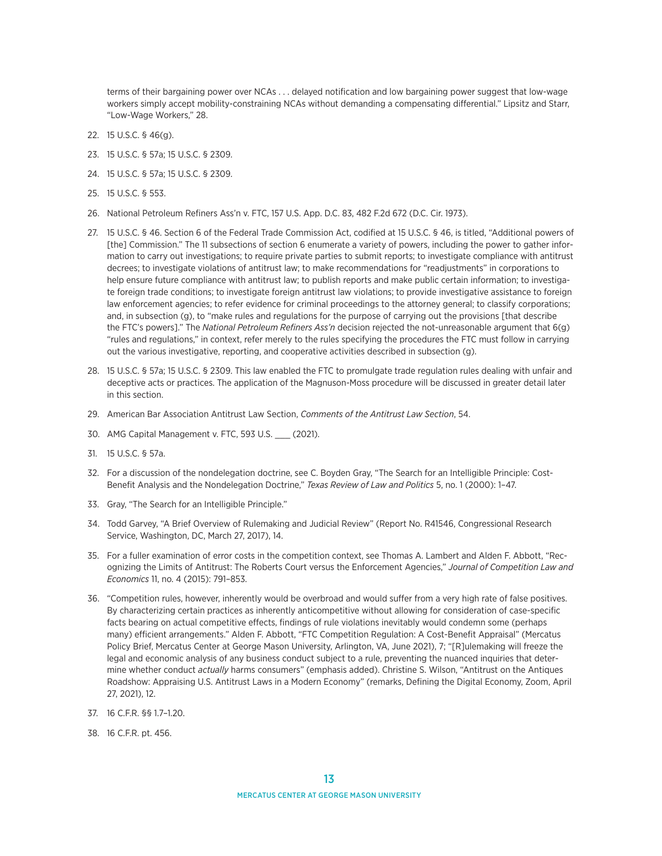<span id="page-12-0"></span>terms of their bargaining power over NCAs . . . delayed notification and low bargaining power suggest that low-wage workers simply accept mobility-constraining NCAs without demanding a compensating differential." Lipsitz and Starr, "Low-Wage Workers," 28.

- [22.](#page-3-0) 15 U.S.C. § 46(g).
- [23.](#page-3-0) 15 U.S.C. § 57a; 15 U.S.C. § 2309.
- [24](#page-3-0). 15 U.S.C. § 57a; 15 U.S.C. § 2309.
- [25.](#page-3-0) 15 U.S.C. § 553.
- [26](#page-3-0). National Petroleum Refiners Ass'n v. FTC, 157 U.S. App. D.C. 83, 482 F.2d 672 (D.C. Cir. 1973).
- [27.](#page-3-0) 15 U.S.C. § 46. Section 6 of the Federal Trade Commission Act, codified at 15 U.S.C. § 46, is titled, "Additional powers of [the] Commission." The 11 subsections of section 6 enumerate a variety of powers, including the power to gather information to carry out investigations; to require private parties to submit reports; to investigate compliance with antitrust decrees; to investigate violations of antitrust law; to make recommendations for "readjustments" in corporations to help ensure future compliance with antitrust law; to publish reports and make public certain information; to investigate foreign trade conditions; to investigate foreign antitrust law violations; to provide investigative assistance to foreign law enforcement agencies; to refer evidence for criminal proceedings to the attorney general; to classify corporations; and, in subsection (g), to "make rules and regulations for the purpose of carrying out the provisions [that describe the FTC's powers]." The *National Petroleum Refiners Ass'n* decision rejected the not-unreasonable argument that 6(g) "rules and regulations," in context, refer merely to the rules specifying the procedures the FTC must follow in carrying out the various investigative, reporting, and cooperative activities described in subsection (g).
- [28](#page-3-0). 15 U.S.C. § 57a; 15 U.S.C. § 2309. This law enabled the FTC to promulgate trade regulation rules dealing with unfair and deceptive acts or practices. The application of the Magnuson-Moss procedure will be discussed in greater detail later in this section.
- [29](#page-4-0). American Bar Association Antitrust Law Section, *Comments of the Antitrust Law Section*, 54.
- [30.](#page-4-0) AMG Capital Management v. FTC, 593 U.S. \_\_\_ (2021).
- [31](#page-4-0). 15 U.S.C. § 57a.
- [32.](#page-4-0) For a discussion of the nondelegation doctrine, see C. Boyden Gray, "The Search for an Intelligible Principle: Cost-Benefit Analysis and the Nondelegation Doctrine," *Texas Review of Law and Politics* 5, no. 1 (2000): 1–47.
- [33.](#page-4-0) Gray, "The Search for an Intelligible Principle."
- [34](#page-5-0). Todd Garvey, "A Brief Overview of Rulemaking and Judicial Review" (Report No. R41546, Congressional Research Service, Washington, DC, March 27, 2017), 14.
- [35.](#page-5-0) For a fuller examination of error costs in the competition context, see Thomas A. Lambert and Alden F. Abbott, "Recognizing the Limits of Antitrust: The Roberts Court versus the Enforcement Agencies," *Journal of Competition Law and Economics* 11, no. 4 (2015): 791–853.
- [36](#page-5-0). "Competition rules, however, inherently would be overbroad and would suffer from a very high rate of false positives. By characterizing certain practices as inherently anticompetitive without allowing for consideration of case-specific facts bearing on actual competitive effects, findings of rule violations inevitably would condemn some (perhaps many) efficient arrangements." Alden F. Abbott, "FTC Competition Regulation: A Cost-Benefit Appraisal" (Mercatus Policy Brief, Mercatus Center at George Mason University, Arlington, VA, June 2021), 7; "[R]ulemaking will freeze the legal and economic analysis of any business conduct subject to a rule, preventing the nuanced inquiries that determine whether conduct *actually* harms consumers" (emphasis added). Christine S. Wilson, "Antitrust on the Antiques Roadshow: Appraising U.S. Antitrust Laws in a Modern Economy" (remarks, Defining the Digital Economy, Zoom, April 27, 2021), 12.
- [37.](#page-5-0) 16 C.F.R. §§ 1.7–1.20.
- [38](#page-5-0). 16 C.F.R. pt. 456.